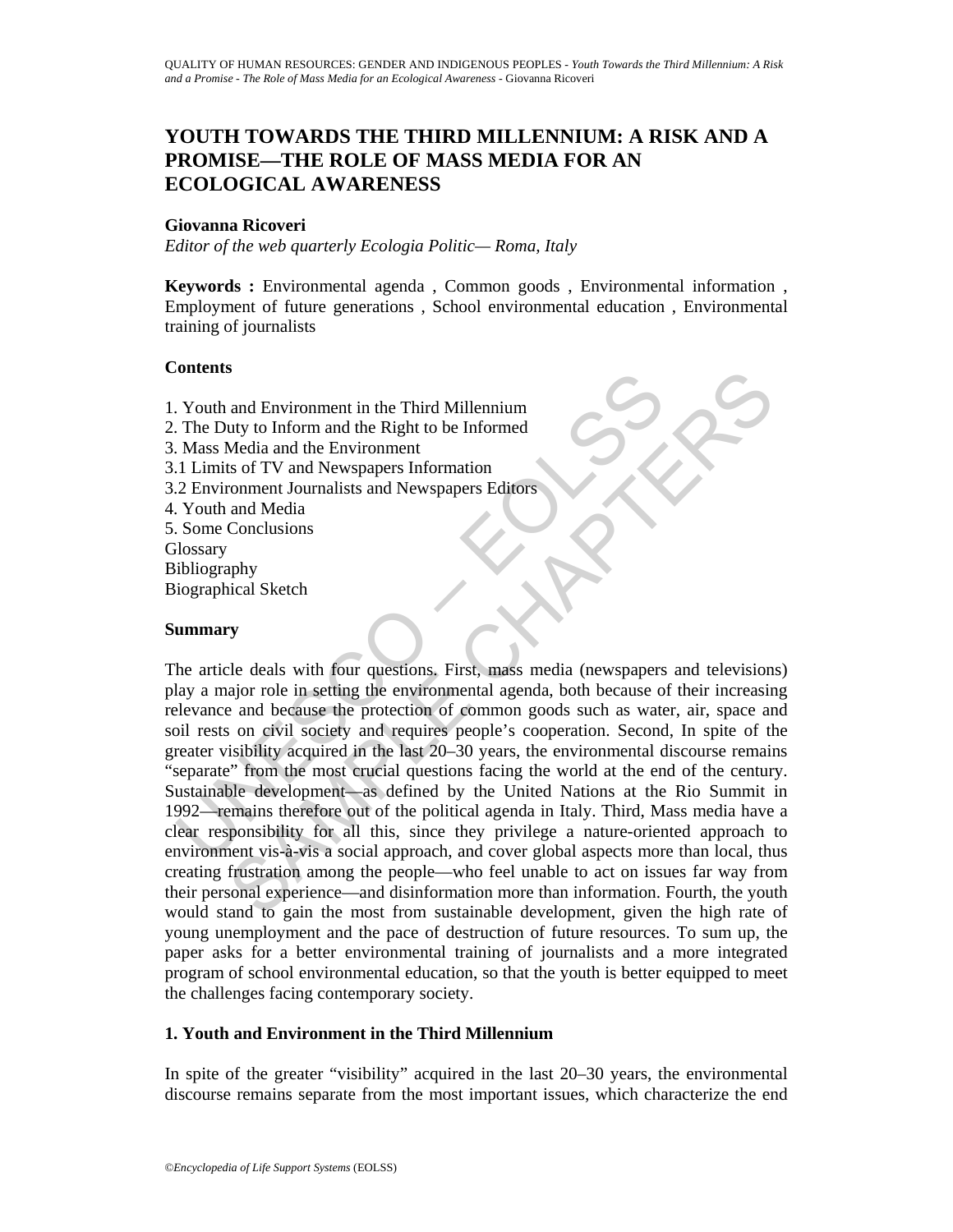# **YOUTH TOWARDS THE THIRD MILLENNIUM: A RISK AND A PROMISE—THE ROLE OF MASS MEDIA FOR AN ECOLOGICAL AWARENESS**

### **Giovanna Ricoveri**

*Editor of the web quarterly Ecologia Politic— Roma, Italy* 

**Keywords :** Environmental agenda , Common goods , Environmental information , Employment of future generations , School environmental education , Environmental training of journalists

### **Contents**

- 1. Youth and Environment in the Third Millennium
- 2. The Duty to Inform and the Right to be Informed
- 3. Mass Media and the Environment
- 3.1 Limits of TV and Newspapers Information
- 3.2 Environment Journalists and Newspapers Editors
- 4. Youth and Media
- 5. Some Conclusions

**Glossary** 

- Bibliography
- Biographical Sketch

### **Summary**

Solidary<br>
The Duty to Inform and the Right to be Informed<br>
Mass Media and the Environment<br>
1.1 Limits of TV and Newspapers Information<br>
1.1 Limits of TV and Newspapers Information<br>
2.2 Environment Journalists and Newspaper S<br>
and Environment in the Third Millennium<br>
any to Inform and the Right to be Informed<br>
Media and the Environment<br>
Media and the Environment<br>
stas of TV and Newspapers Information<br>
and Media and Newspapers Information<br>
Con The article deals with four questions. First, mass media (newspapers and televisions) play a major role in setting the environmental agenda, both because of their increasing relevance and because the protection of common goods such as water, air, space and soil rests on civil society and requires people's cooperation. Second, In spite of the greater visibility acquired in the last 20–30 years, the environmental discourse remains "separate" from the most crucial questions facing the world at the end of the century. Sustainable development—as defined by the United Nations at the Rio Summit in 1992—remains therefore out of the political agenda in Italy. Third, Mass media have a clear responsibility for all this, since they privilege a nature-oriented approach to environment vis-à-vis a social approach, and cover global aspects more than local, thus creating frustration among the people—who feel unable to act on issues far way from their personal experience—and disinformation more than information. Fourth, the youth would stand to gain the most from sustainable development, given the high rate of young unemployment and the pace of destruction of future resources. To sum up, the paper asks for a better environmental training of journalists and a more integrated program of school environmental education, so that the youth is better equipped to meet the challenges facing contemporary society.

# **1. Youth and Environment in the Third Millennium**

In spite of the greater "visibility" acquired in the last 20–30 years, the environmental discourse remains separate from the most important issues, which characterize the end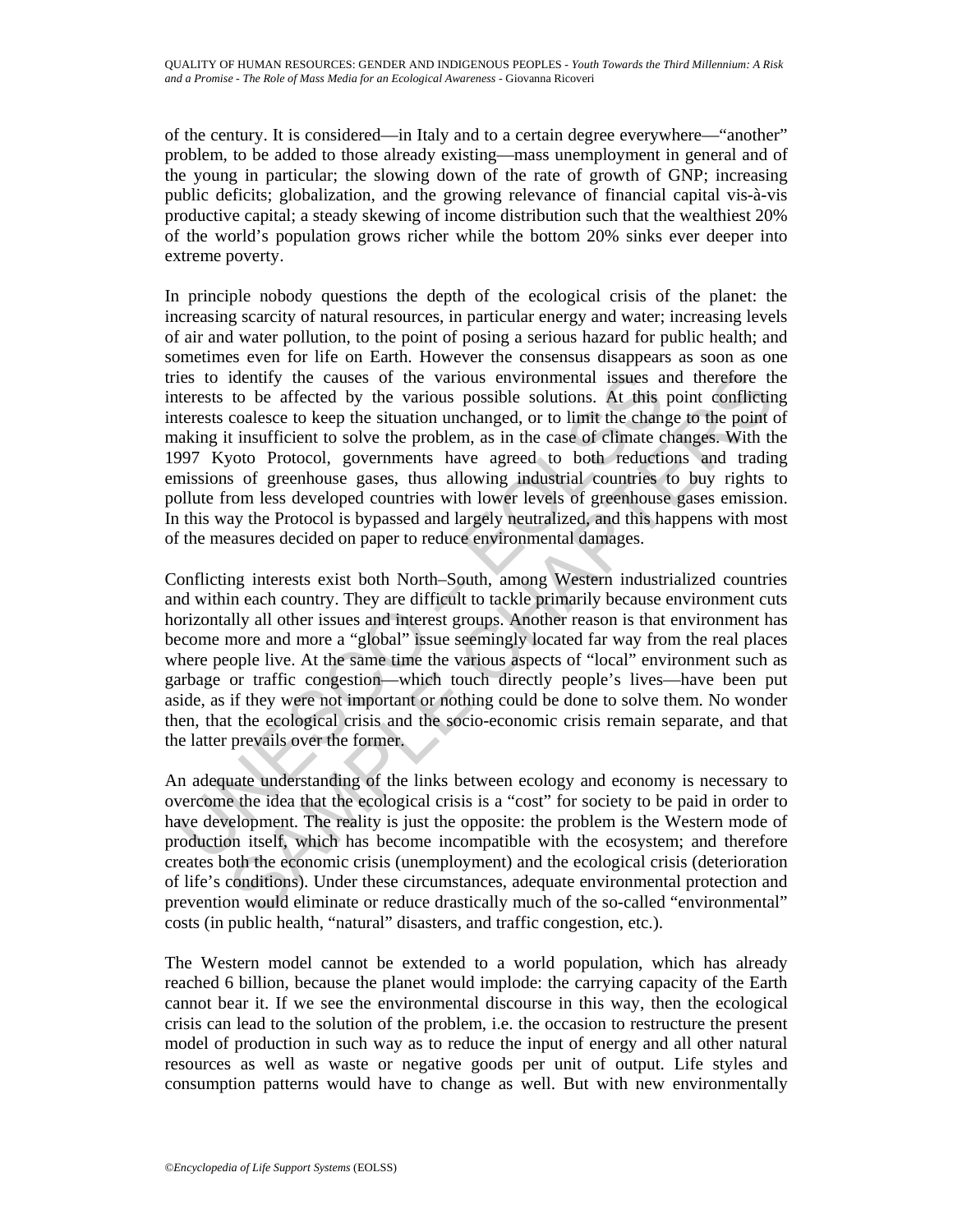of the century. It is considered—in Italy and to a certain degree everywhere—"another" problem, to be added to those already existing—mass unemployment in general and of the young in particular; the slowing down of the rate of growth of GNP; increasing public deficits; globalization, and the growing relevance of financial capital vis-à-vis productive capital; a steady skewing of income distribution such that the wealthiest 20% of the world's population grows richer while the bottom 20% sinks ever deeper into extreme poverty.

identify the causes of the various environmental issues and therefore the to be affected by the various possible solutions. At this point conflictions of conducts of conducts of conducts of conducts of the product is trans In principle nobody questions the depth of the ecological crisis of the planet: the increasing scarcity of natural resources, in particular energy and water; increasing levels of air and water pollution, to the point of posing a serious hazard for public health; and sometimes even for life on Earth. However the consensus disappears as soon as one tries to identify the causes of the various environmental issues and therefore the interests to be affected by the various possible solutions. At this point conflicting interests coalesce to keep the situation unchanged, or to limit the change to the point of making it insufficient to solve the problem, as in the case of climate changes. With the 1997 Kyoto Protocol, governments have agreed to both reductions and trading emissions of greenhouse gases, thus allowing industrial countries to buy rights to pollute from less developed countries with lower levels of greenhouse gases emission. In this way the Protocol is bypassed and largely neutralized, and this happens with most of the measures decided on paper to reduce environmental damages.

ies to identify the causes of the various environmental issues a<br>terests to be affected by the various possible solutions. At this<br>terests coalesce to keep the situation unchanged, or to limit the change<br>laking it insuffic Conflicting interests exist both North–South, among Western industrialized countries and within each country. They are difficult to tackle primarily because environment cuts horizontally all other issues and interest groups. Another reason is that environment has become more and more a "global" issue seemingly located far way from the real places where people live. At the same time the various aspects of "local" environment such as garbage or traffic congestion—which touch directly people's lives—have been put aside, as if they were not important or nothing could be done to solve them. No wonder then, that the ecological crisis and the socio-economic crisis remain separate, and that the latter prevails over the former.

An adequate understanding of the links between ecology and economy is necessary to overcome the idea that the ecological crisis is a "cost" for society to be paid in order to have development. The reality is just the opposite: the problem is the Western mode of production itself, which has become incompatible with the ecosystem; and therefore creates both the economic crisis (unemployment) and the ecological crisis (deterioration of life's conditions). Under these circumstances, adequate environmental protection and prevention would eliminate or reduce drastically much of the so-called "environmental" costs (in public health, "natural" disasters, and traffic congestion, etc.).

The Western model cannot be extended to a world population, which has already reached 6 billion, because the planet would implode: the carrying capacity of the Earth cannot bear it. If we see the environmental discourse in this way, then the ecological crisis can lead to the solution of the problem, i.e. the occasion to restructure the present model of production in such way as to reduce the input of energy and all other natural resources as well as waste or negative goods per unit of output. Life styles and consumption patterns would have to change as well. But with new environmentally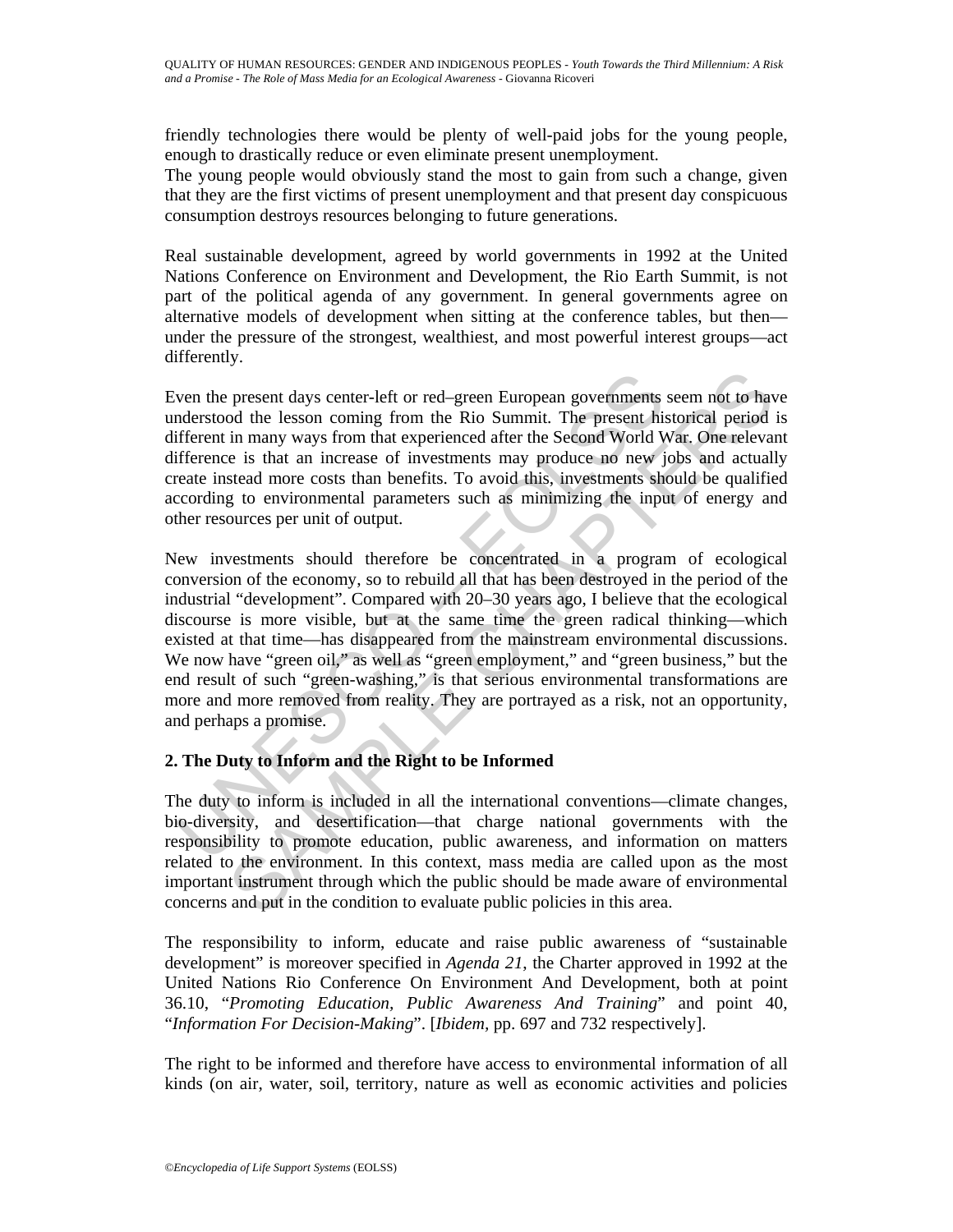friendly technologies there would be plenty of well-paid jobs for the young people, enough to drastically reduce or even eliminate present unemployment.

The young people would obviously stand the most to gain from such a change, given that they are the first victims of present unemployment and that present day conspicuous consumption destroys resources belonging to future generations.

Real sustainable development, agreed by world governments in 1992 at the United Nations Conference on Environment and Development, the Rio Earth Summit, is not part of the political agenda of any government. In general governments agree on alternative models of development when sitting at the conference tables, but then under the pressure of the strongest, wealthiest, and most powerful interest groups—act differently.

Even the present days center-left or red–green European governments seem not to have understood the lesson coming from the Rio Summit. The present historical period is different in many ways from that experienced after the Second World War. One relevant difference is that an increase of investments may produce no new jobs and actually create instead more costs than benefits. To avoid this, investments should be qualified according to environmental parameters such as minimizing the input of energy and other resources per unit of output.

ven the present days center-left or red-green European governments<br>nderstood the lesson coming from the Rio Summit. The present his<br>fiferent in many ways from that experienced after the Second World V<br>ifference is that an present days center-left or red-green European governments seem not to have dot the lesson coming from the Rio Summit. The present historical period in many ways from that experienced after the Second World War. One releva New investments should therefore be concentrated in a program of ecological conversion of the economy, so to rebuild all that has been destroyed in the period of the industrial "development". Compared with 20–30 years ago, I believe that the ecological discourse is more visible, but at the same time the green radical thinking—which existed at that time—has disappeared from the mainstream environmental discussions. We now have "green oil," as well as "green employment," and "green business," but the end result of such "green-washing," is that serious environmental transformations are more and more removed from reality. They are portrayed as a risk, not an opportunity, and perhaps a promise.

# **2. The Duty to Inform and the Right to be Informed**

The duty to inform is included in all the international conventions—climate changes, bio-diversity, and desertification—that charge national governments with the responsibility to promote education, public awareness, and information on matters related to the environment. In this context, mass media are called upon as the most important instrument through which the public should be made aware of environmental concerns and put in the condition to evaluate public policies in this area.

The responsibility to inform, educate and raise public awareness of "sustainable development" is moreover specified in *Agenda 21*, the Charter approved in 1992 at the United Nations Rio Conference On Environment And Development, both at point 36.10, "*Promoting Education, Public Awareness And Training*" and point 40, "*Information For Decision-Making*". [*Ibidem,* pp. 697 and 732 respectively].

The right to be informed and therefore have access to environmental information of all kinds (on air, water, soil, territory, nature as well as economic activities and policies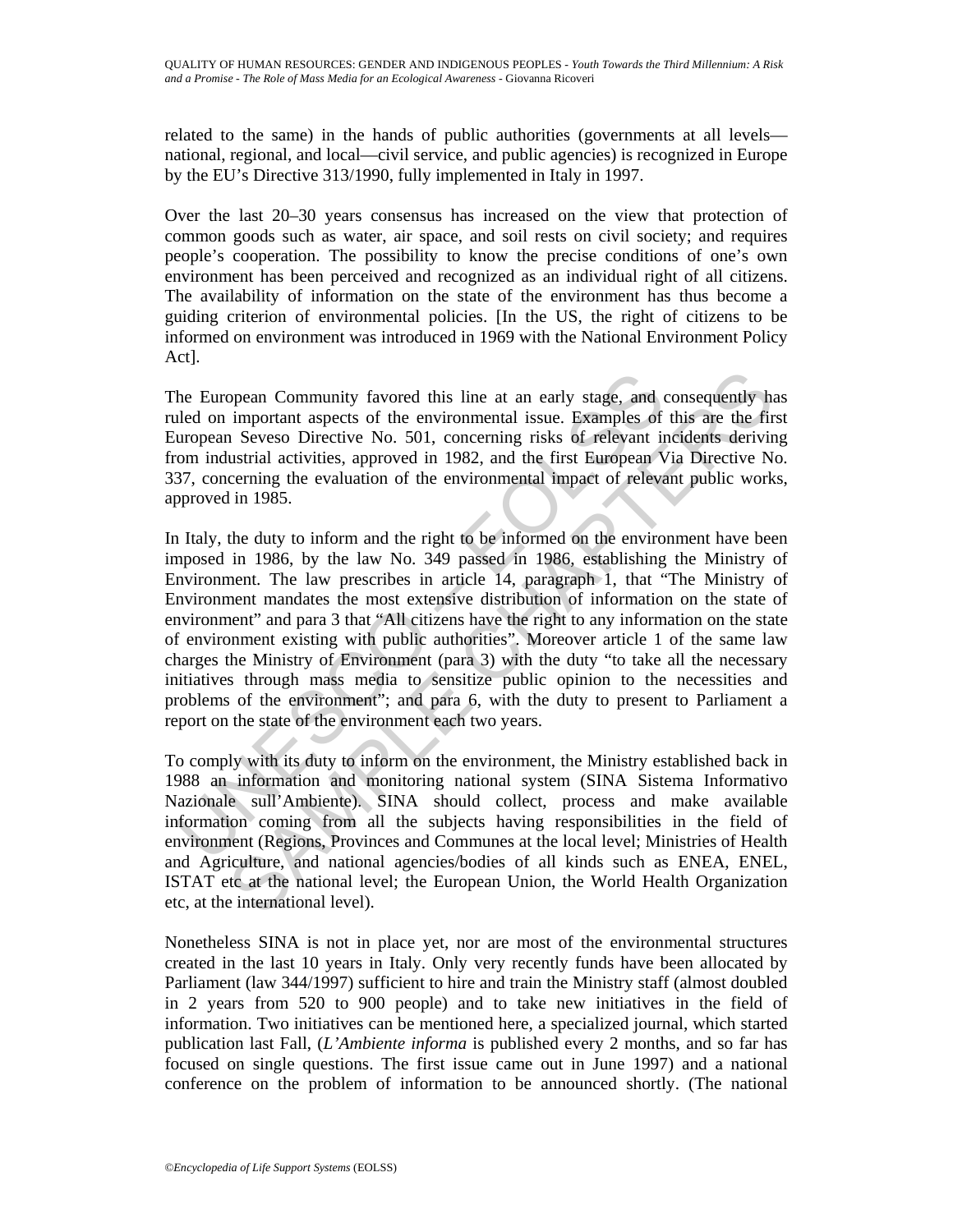related to the same) in the hands of public authorities (governments at all levels national, regional, and local—civil service, and public agencies) is recognized in Europe by the EU's Directive 313/1990, fully implemented in Italy in 1997.

Over the last 20–30 years consensus has increased on the view that protection of common goods such as water, air space, and soil rests on civil society; and requires people's cooperation. The possibility to know the precise conditions of one's own environment has been perceived and recognized as an individual right of all citizens. The availability of information on the state of the environment has thus become a guiding criterion of environmental policies. [In the US, the right of citizens to be informed on environment was introduced in 1969 with the National Environment Policy Act].

The European Community favored this line at an early stage, and consequently has ruled on important aspects of the environmental issue. Examples of this are the first European Seveso Directive No. 501, concerning risks of relevant incidents deriving from industrial activities, approved in 1982, and the first European Via Directive No. 337, concerning the evaluation of the environmental impact of relevant public works, approved in 1985.

he European Community favored this line at an early stage, and elled on important aspects of the environmental issue. Examples of uropean Seveso Directive No. 501, concerning risks of relevant iron industrial activities, a opean Community favored this line at an early stage, and consequently himportant aspects of the environmental issue. Examples of this are the first environmental issue. Examples of this are the first environmental activiti In Italy, the duty to inform and the right to be informed on the environment have been imposed in 1986, by the law No. 349 passed in 1986, establishing the Ministry of Environment. The law prescribes in article 14, paragraph 1, that "The Ministry of Environment mandates the most extensive distribution of information on the state of environment" and para 3 that "All citizens have the right to any information on the state of environment existing with public authorities". Moreover article 1 of the same law charges the Ministry of Environment (para 3) with the duty "to take all the necessary initiatives through mass media to sensitize public opinion to the necessities and problems of the environment"; and para 6, with the duty to present to Parliament a report on the state of the environment each two years.

To comply with its duty to inform on the environment, the Ministry established back in 1988 an information and monitoring national system (SINA Sistema Informativo Nazionale sull'Ambiente). SINA should collect, process and make available information coming from all the subjects having responsibilities in the field of environment (Regions, Provinces and Communes at the local level; Ministries of Health and Agriculture, and national agencies/bodies of all kinds such as ENEA, ENEL, ISTAT etc at the national level; the European Union, the World Health Organization etc, at the international level).

Nonetheless SINA is not in place yet, nor are most of the environmental structures created in the last 10 years in Italy. Only very recently funds have been allocated by Parliament (law 344/1997) sufficient to hire and train the Ministry staff (almost doubled in 2 years from 520 to 900 people) and to take new initiatives in the field of information. Two initiatives can be mentioned here, a specialized journal, which started publication last Fall, (*L'Ambiente informa* is published every 2 months, and so far has focused on single questions. The first issue came out in June 1997) and a national conference on the problem of information to be announced shortly. (The national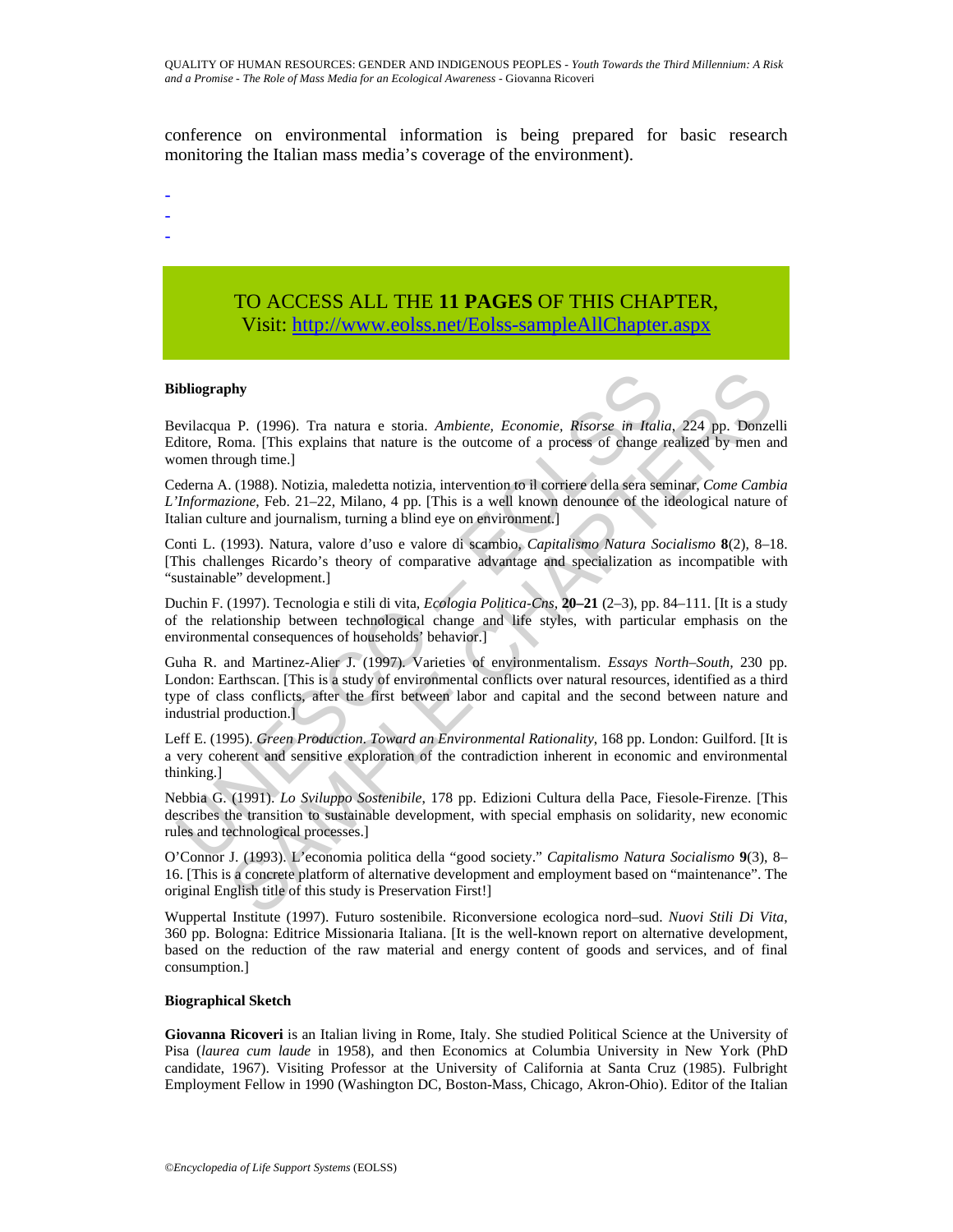conference on environmental information is being prepared for basic research monitoring the Italian mass media's coverage of the environment).

- -
- -
- -

# TO ACCESS ALL THE **11 PAGES** OF THIS CHAPTER, Visit[: http://www.eolss.net/Eolss-sampleAllChapter.aspx](https://www.eolss.net/ebooklib/sc_cart.aspx?File=E1-17-04-03)

#### **Bibliography**

Bevilacqua P. (1996). Tra natura e storia. *Ambiente, Economie, Risorse in Italia*, 224 pp. Donzelli Editore, Roma. [This explains that nature is the outcome of a process of change realized by men and women through time.]

Cederna A. (1988). Notizia, maledetta notizia, intervention to il corriere della sera seminar, *Come Cambia L'Informazione*, Feb. 21–22, Milano, 4 pp. [This is a well known denounce of the ideological nature of Italian culture and journalism, turning a blind eye on environment.]

Conti L. (1993). Natura, valore d'uso e valore di scambio*, Capitalismo Natura Socialismo* **8**(2), 8–18. [This challenges Ricardo's theory of comparative advantage and specialization as incompatible with "sustainable" development.]

Duchin F. (1997). Tecnologia e stili di vita*, Ecologia Politica-Cns*, **20–21** (2–3), pp. 84–111. [It is a study of the relationship between technological change and life styles, with particular emphasis on the environmental consequences of households' behavior.]

**ibliography**<br>
evilacqua P. (1996). Tra natura e storia. Ambiente, Economie, Risorse in Italia<br>
ditiore, Roma. [This explains that nature is the outcome of a process of change io<br>
omen through time.]<br>
ederna A. (1988). No **shy**<br>
1P. (1996). Tra natura e storia. Ambiente, Economie, Risorse in Italia, 224 pp. Donzeloma. [This explains that nature is the outcome of a process of change realized by men are ough time.]<br>
(1988). Notizia, maledett Guha R. and Martinez-Alier J. (1997). Varieties of environmentalism. *Essays North–South,* 230 pp. London: Earthscan. [This is a study of environmental conflicts over natural resources, identified as a third type of class conflicts, after the first between labor and capital and the second between nature and industrial production.]

Leff E. (1995). *Green Production*. *Toward an Environmental Rationality*, 168 pp. London: Guilford. [It is a very coherent and sensitive exploration of the contradiction inherent in economic and environmental thinking.]

Nebbia G. (1991). *Lo Sviluppo Sostenibile*, 178 pp. Edizioni Cultura della Pace, Fiesole-Firenze. [This describes the transition to sustainable development, with special emphasis on solidarity, new economic rules and technological processes.]

O'Connor J. (1993). L'economia politica della "good society." *Capitalismo Natura Socialismo* **9**(3), 8– 16. [This is a concrete platform of alternative development and employment based on "maintenance". The original English title of this study is Preservation First!]

Wuppertal Institute (1997). Futuro sostenibile. Riconversione ecologica nord–sud. *Nuovi Stili Di Vita*, 360 pp. Bologna: Editrice Missionaria Italiana. [It is the well-known report on alternative development, based on the reduction of the raw material and energy content of goods and services, and of final consumption.]

#### **Biographical Sketch**

**Giovanna Ricoveri** is an Italian living in Rome, Italy. She studied Political Science at the University of Pisa (*laurea cum laude* in 1958), and then Economics at Columbia University in New York (PhD candidate, 1967). Visiting Professor at the University of California at Santa Cruz (1985). Fulbright Employment Fellow in 1990 (Washington DC, Boston-Mass, Chicago, Akron-Ohio). Editor of the Italian